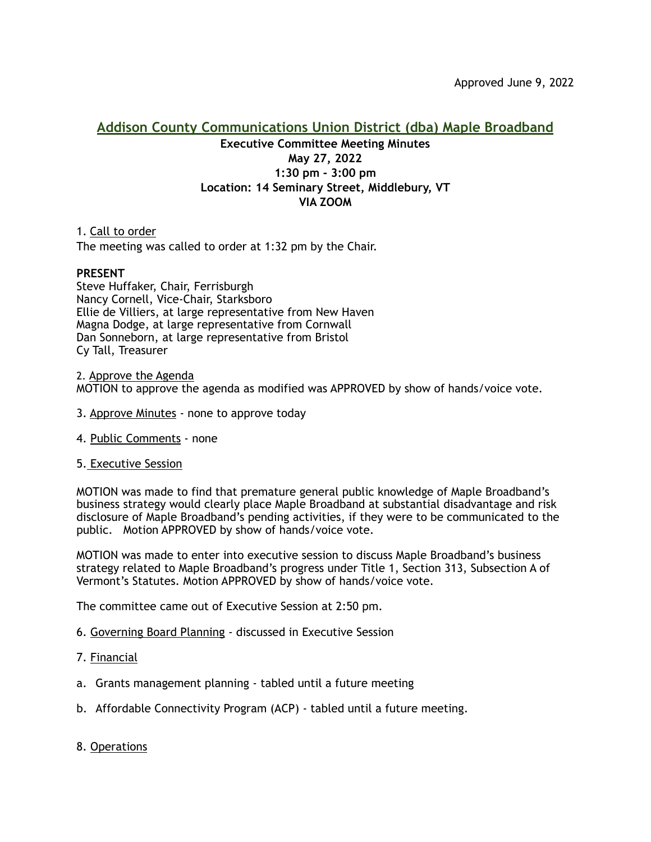## **Addison County Communications Union District (dba) Maple Broadband Executive Committee Meeting Minutes May 27, 2022 1:30 pm - 3:00 pm Location: 14 Seminary Street, Middlebury, VT VIA ZOOM**

1. Call to order The meeting was called to order at 1:32 pm by the Chair.

## **PRESENT**

Steve Huffaker, Chair, Ferrisburgh Nancy Cornell, Vice-Chair, Starksboro Ellie de Villiers, at large representative from New Haven Magna Dodge, at large representative from Cornwall Dan Sonneborn, at large representative from Bristol Cy Tall, Treasurer

2. Approve the Agenda MOTION to approve the agenda as modified was APPROVED by show of hands/voice vote.

- 3. Approve Minutes none to approve today
- 4. Public Comments none
- 5. Executive Session

MOTION was made to find that premature general public knowledge of Maple Broadband's business strategy would clearly place Maple Broadband at substantial disadvantage and risk disclosure of Maple Broadband's pending activities, if they were to be communicated to the public. Motion APPROVED by show of hands/voice vote.

MOTION was made to enter into executive session to discuss Maple Broadband's business strategy related to Maple Broadband's progress under Title 1, Section 313, Subsection A of Vermont's Statutes. Motion APPROVED by show of hands/voice vote.

The committee came out of Executive Session at 2:50 pm.

- 6. Governing Board Planning discussed in Executive Session
- 7. Financial
- a. Grants management planning tabled until a future meeting
- b. Affordable Connectivity Program (ACP) tabled until a future meeting.
- 8. Operations